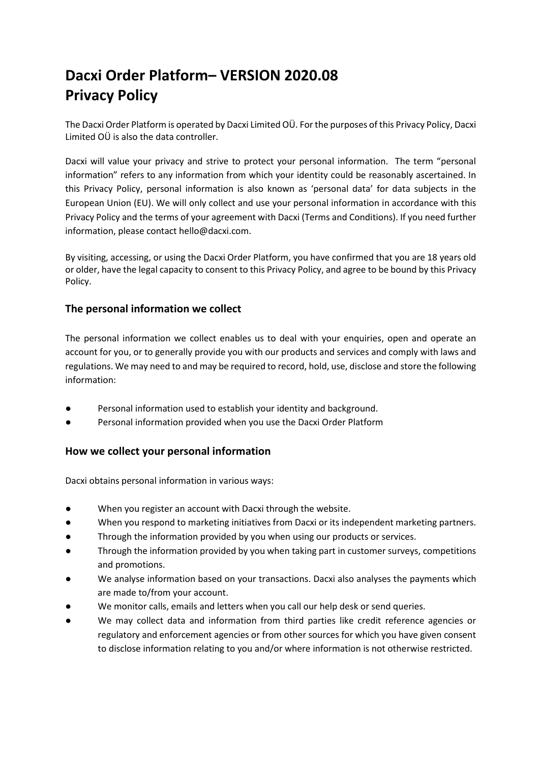# **Dacxi Order Platform– VERSION 2020.08 Privacy Policy**

The Dacxi Order Platform is operated by Dacxi Limited OÜ. For the purposes of this Privacy Policy, Dacxi Limited OÜ is also the data controller.

Dacxi will value your privacy and strive to protect your personal information. The term "personal information" refers to any information from which your identity could be reasonably ascertained. In this Privacy Policy, personal information is also known as 'personal data' for data subjects in the European Union (EU). We will only collect and use your personal information in accordance with this Privacy Policy and the terms of your agreement with Dacxi (Terms and Conditions). If you need further information, please contact hello@dacxi.com.

By visiting, accessing, or using the Dacxi Order Platform, you have confirmed that you are 18 years old or older, have the legal capacity to consent to this Privacy Policy, and agree to be bound by this Privacy Policy.

# **The personal information we collect**

The personal information we collect enables us to deal with your enquiries, open and operate an account for you, or to generally provide you with our products and services and comply with laws and regulations. We may need to and may be required to record, hold, use, disclose and store the following information:

- Personal information used to establish your identity and background.
- Personal information provided when you use the Dacxi Order Platform

# **How we collect your personal information**

Dacxi obtains personal information in various ways:

- When you register an account with Dacxi through the website.
- When you respond to marketing initiatives from Dacxi or its independent marketing partners.
- Through the information provided by you when using our products or services.
- Through the information provided by you when taking part in customer surveys, competitions and promotions.
- We analyse information based on your transactions. Dacxi also analyses the payments which are made to/from your account.
- We monitor calls, emails and letters when you call our help desk or send queries.
- We may collect data and information from third parties like credit reference agencies or regulatory and enforcement agencies or from other sources for which you have given consent to disclose information relating to you and/or where information is not otherwise restricted.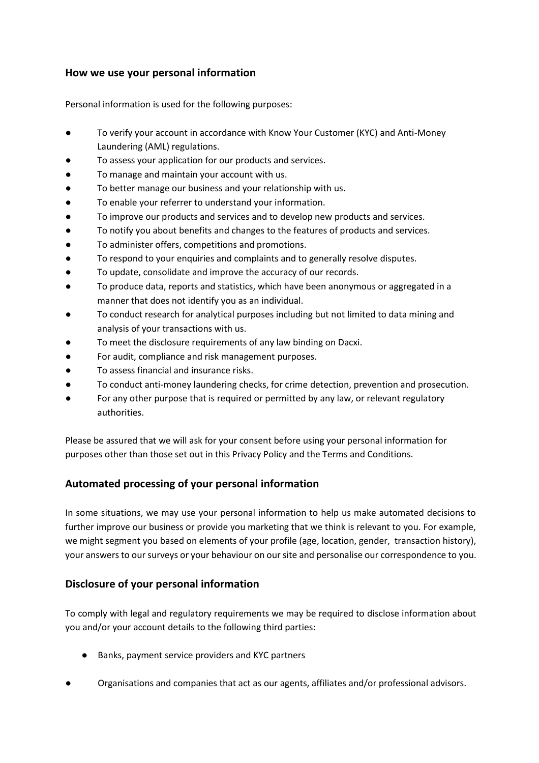# **How we use your personal information**

Personal information is used for the following purposes:

- To verify your account in accordance with Know Your Customer (KYC) and Anti-Money Laundering (AML) regulations.
- To assess your application for our products and services.
- To manage and maintain your account with us.
- To better manage our business and your relationship with us.
- To enable your referrer to understand your information.
- To improve our products and services and to develop new products and services.
- To notify you about benefits and changes to the features of products and services.
- To administer offers, competitions and promotions.
- To respond to your enquiries and complaints and to generally resolve disputes.
- To update, consolidate and improve the accuracy of our records.
- To produce data, reports and statistics, which have been anonymous or aggregated in a manner that does not identify you as an individual.
- To conduct research for analytical purposes including but not limited to data mining and analysis of your transactions with us.
- To meet the disclosure requirements of any law binding on Dacxi.
- For audit, compliance and risk management purposes.
- To assess financial and insurance risks.
- To conduct anti-money laundering checks, for crime detection, prevention and prosecution.
- For any other purpose that is required or permitted by any law, or relevant regulatory authorities.

Please be assured that we will ask for your consent before using your personal information for purposes other than those set out in this Privacy Policy and the Terms and Conditions.

# **Automated processing of your personal information**

In some situations, we may use your personal information to help us make automated decisions to further improve our business or provide you marketing that we think is relevant to you. For example, we might segment you based on elements of your profile (age, location, gender, transaction history), your answers to our surveys or your behaviour on our site and personalise our correspondence to you.

# **Disclosure of your personal information**

To comply with legal and regulatory requirements we may be required to disclose information about you and/or your account details to the following third parties:

- Banks, payment service providers and KYC partners
- Organisations and companies that act as our agents, affiliates and/or professional advisors.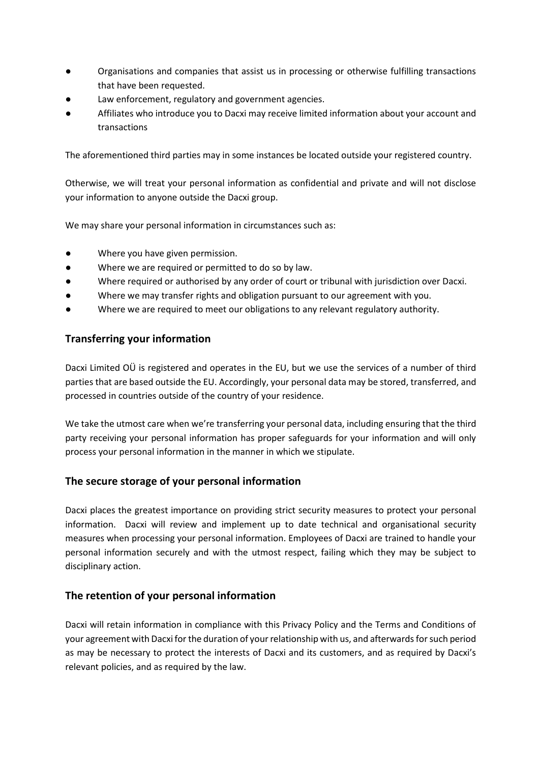- Organisations and companies that assist us in processing or otherwise fulfilling transactions that have been requested.
- Law enforcement, regulatory and government agencies.
- Affiliates who introduce you to Dacxi may receive limited information about your account and transactions

The aforementioned third parties may in some instances be located outside your registered country.

Otherwise, we will treat your personal information as confidential and private and will not disclose your information to anyone outside the Dacxi group.

We may share your personal information in circumstances such as:

- Where you have given permission.
- Where we are required or permitted to do so by law.
- Where required or authorised by any order of court or tribunal with jurisdiction over Dacxi.
- Where we may transfer rights and obligation pursuant to our agreement with you.
- Where we are required to meet our obligations to any relevant regulatory authority.

# **Transferring your information**

Dacxi Limited OÜ is registered and operates in the EU, but we use the services of a number of third parties that are based outside the EU. Accordingly, your personal data may be stored, transferred, and processed in countries outside of the country of your residence.

We take the utmost care when we're transferring your personal data, including ensuring that the third party receiving your personal information has proper safeguards for your information and will only process your personal information in the manner in which we stipulate.

# **The secure storage of your personal information**

Dacxi places the greatest importance on providing strict security measures to protect your personal information. Dacxi will review and implement up to date technical and organisational security measures when processing your personal information. Employees of Dacxi are trained to handle your personal information securely and with the utmost respect, failing which they may be subject to disciplinary action.

# **The retention of your personal information**

Dacxi will retain information in compliance with this Privacy Policy and the Terms and Conditions of your agreement with Dacxi for the duration of your relationship with us, and afterwards for such period as may be necessary to protect the interests of Dacxi and its customers, and as required by Dacxi's relevant policies, and as required by the law.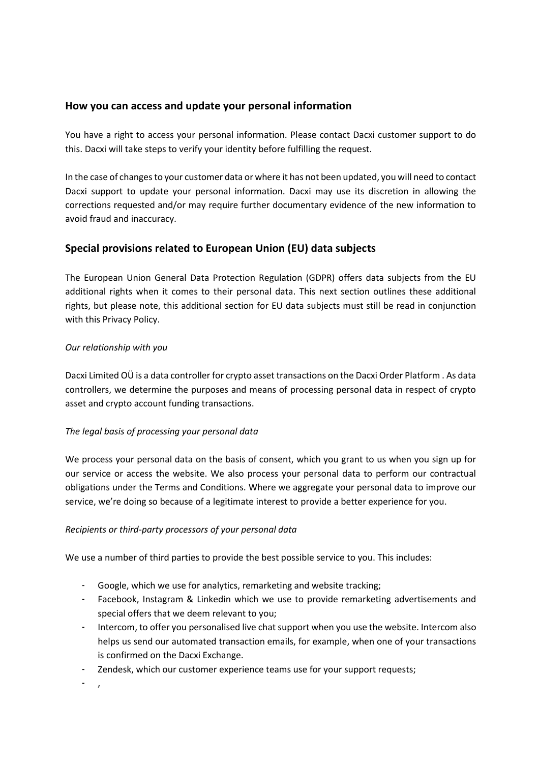# **How you can access and update your personal information**

You have a right to access your personal information. Please contact Dacxi customer support to do this. Dacxi will take steps to verify your identity before fulfilling the request.

In the case of changes to your customer data or where it has not been updated, you will need to contact Dacxi support to update your personal information. Dacxi may use its discretion in allowing the corrections requested and/or may require further documentary evidence of the new information to avoid fraud and inaccuracy.

# **Special provisions related to European Union (EU) data subjects**

The European Union General Data Protection Regulation (GDPR) offers data subjects from the EU additional rights when it comes to their personal data. This next section outlines these additional rights, but please note, this additional section for EU data subjects must still be read in conjunction with this Privacy Policy.

## *Our relationship with you*

Dacxi Limited OÜ is a data controller for crypto asset transactions on the Dacxi Order Platform . As data controllers, we determine the purposes and means of processing personal data in respect of crypto asset and crypto account funding transactions.

## *The legal basis of processing your personal data*

We process your personal data on the basis of consent, which you grant to us when you sign up for our service or access the website. We also process your personal data to perform our contractual obligations under the Terms and Conditions. Where we aggregate your personal data to improve our service, we're doing so because of a legitimate interest to provide a better experience for you.

## *Recipients or third-party processors of your personal data*

We use a number of third parties to provide the best possible service to you. This includes:

- Google, which we use for analytics, remarketing and website tracking;
- Facebook, Instagram & Linkedin which we use to provide remarketing advertisements and special offers that we deem relevant to you;
- Intercom, to offer you personalised live chat support when you use the website. Intercom also helps us send our automated transaction emails, for example, when one of your transactions is confirmed on the Dacxi Exchange.
- Zendesk, which our customer experience teams use for your support requests;

- ,